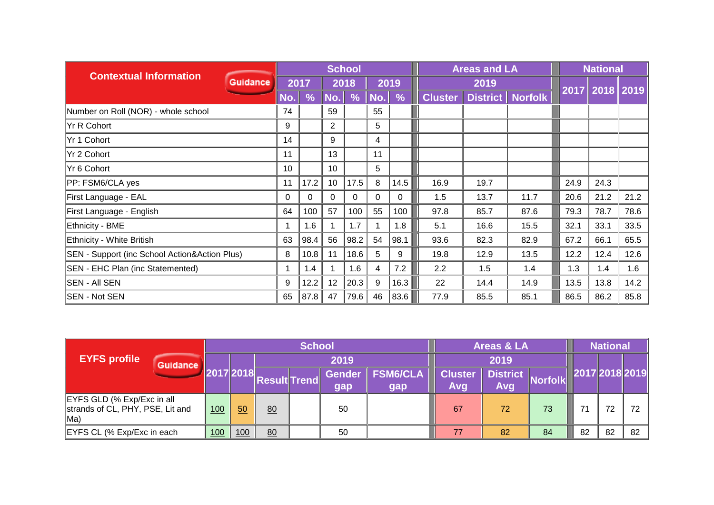| <b>Contextual Information</b>                 |                 |               |               | <b>School</b> |     |                    | <b>Areas and LA</b> |                             |                |      | <b>National</b> |      |
|-----------------------------------------------|-----------------|---------------|---------------|---------------|-----|--------------------|---------------------|-----------------------------|----------------|------|-----------------|------|
| <b>Guidance</b>                               |                 | 2017          |               | 2018          |     | 2019               |                     | 2019                        |                |      | 2017 2018 2019  |      |
|                                               | No.             | $\frac{9}{6}$ | $\ $ No. $\ $ | $\frac{9}{6}$ | No. | $\frac{9}{6}$<br>L |                     | <b>Cluster   District  </b> | <b>Norfolk</b> |      |                 |      |
| Number on Roll (NOR) - whole school           | 74              |               | 59            |               | 55  |                    |                     |                             |                |      |                 |      |
| Yr R Cohort                                   | 9               |               | 2             |               | 5   |                    |                     |                             |                |      |                 |      |
| Yr 1 Cohort                                   | 14              |               | 9             |               | 4   |                    |                     |                             |                |      |                 |      |
| Yr 2 Cohort                                   | 11              |               | 13            |               | 11  |                    |                     |                             |                |      |                 |      |
| Yr 6 Cohort                                   | 10 <sup>°</sup> |               | 10            |               | 5   |                    |                     |                             |                |      |                 |      |
| PP: FSM6/CLA yes                              | 11              | 17.2          | 10            | 17.5          | 8   | 14.5               | 16.9                | 19.7                        |                | 24.9 | 24.3            |      |
| First Language - EAL                          | 0               | $\Omega$      | $\Omega$      | $\Omega$      | 0   | 0                  | 1.5                 | 13.7                        | 11.7           | 20.6 | 21.2            | 21.2 |
| First Language - English                      | 64              | 100           | 57            | 100           | 55  | 100                | 97.8                | 85.7                        | 87.6           | 79.3 | 78.7            | 78.6 |
| Ethnicity - BME                               |                 | 1.6           |               | 1.7           | 1   | 1.8                | 5.1                 | 16.6                        | 15.5           | 32.1 | 33.1            | 33.5 |
| Ethnicity - White British                     | 63              | 98.4          | 56            | 98.2          | 54  | 98.1               | 93.6                | 82.3                        | 82.9           | 67.2 | 66.1            | 65.5 |
| SEN - Support (inc School Action&Action Plus) | 8               | 10.8          | 11            | 18.6          | 5   | 9                  | 19.8                | 12.9                        | 13.5           | 12.2 | 12.4            | 12.6 |
| <b>SEN - EHC Plan (inc Statemented)</b>       |                 | 1.4           |               | 1.6           | 4   | 7.2                | 2.2                 | 1.5                         | 1.4            | 1.3  | 1.4             | 1.6  |
| <b>SEN - AII SEN</b>                          | 9               | 12.2          | 12            | 20.3          | 9   | 16.3               | 22                  | 14.4                        | 14.9           | 13.5 | 13.8            | 14.2 |
| <b>SEN - Not SEN</b>                          | 65              | 87.8          | 47            | 79.6          | 46  | 83.6               | 77.9                | 85.5                        | 85.1           | 86.5 | 86.2            | 85.8 |

|                                                                       |           |     |              | <b>School</b> |                      |                        |                       | Areas & LA     |    | <b>National</b> |    |    |
|-----------------------------------------------------------------------|-----------|-----|--------------|---------------|----------------------|------------------------|-----------------------|----------------|----|-----------------|----|----|
| <b>EYFS profile</b><br>Guidance                                       |           |     |              |               | 2019                 |                        |                       | 2019           |    |                 |    |    |
|                                                                       | 2017 2018 |     | Result Trend |               | <b>Gender</b><br>gap | <b>FSM6/CLA</b><br>gap | <b>Cluster</b><br>Avg | Norfolk<br>Avg |    | 2017 2018 2019  |    |    |
| EYFS GLD (% Exp/Exc in all<br>strands of CL, PHY, PSE, Lit and<br>Ma) | 100       | 50  | 80           |               | 50                   |                        | 67                    | 72             | 73 | 71              | 72 | 72 |
| EYFS CL (% Exp/Exc in each                                            | 100       | 100 | 80           |               | 50                   |                        | 77                    | 82             | 84 | 82              | 82 | 82 |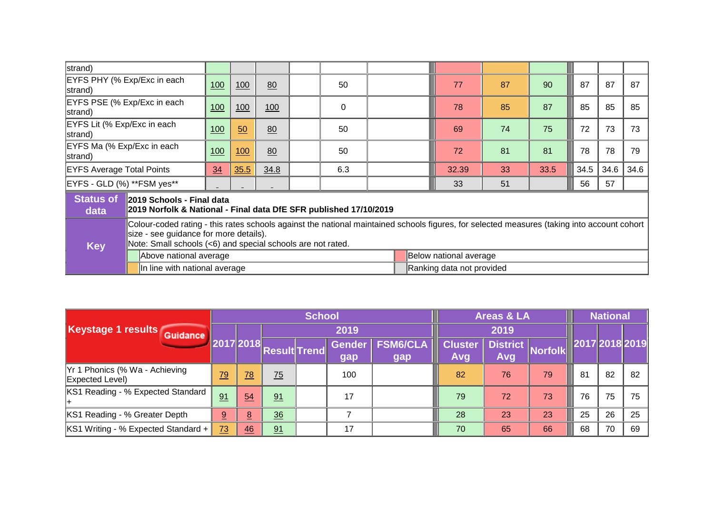| strand)                                |                                                                                                |                                                                                                                                                                                                                                                      |     |    |  |    |  |  |                        |    |      |      |      |      |
|----------------------------------------|------------------------------------------------------------------------------------------------|------------------------------------------------------------------------------------------------------------------------------------------------------------------------------------------------------------------------------------------------------|-----|----|--|----|--|--|------------------------|----|------|------|------|------|
| EYFS PHY (% Exp/Exc in each<br>strand) |                                                                                                | 100                                                                                                                                                                                                                                                  | 100 | 80 |  | 50 |  |  | 77                     | 87 | 90   | 87   | 87   | 87   |
| strand)                                | EYFS PSE (% Exp/Exc in each<br>100<br>100<br>100<br>0                                          |                                                                                                                                                                                                                                                      |     |    |  |    |  |  | 78                     | 85 | 87   | 85   | 85   | 85   |
| EYFS Lit (% Exp/Exc in each<br>strand) |                                                                                                | 100                                                                                                                                                                                                                                                  | 50  | 80 |  | 50 |  |  | 69                     | 74 | 75   | 72   | 73   | 73   |
| EYFS Ma (% Exp/Exc in each<br>strand)  |                                                                                                | 100                                                                                                                                                                                                                                                  | 100 | 80 |  | 50 |  |  | 72                     | 81 | 81   | 78   | 78   | 79   |
| <b>EYFS Average Total Points</b>       |                                                                                                | 35.5<br>34.8<br>6.3<br>34                                                                                                                                                                                                                            |     |    |  |    |  |  | 32.39                  | 33 | 33.5 | 34.5 | 34.6 | 34.6 |
| EYFS - GLD (%) ** FSM yes**            |                                                                                                |                                                                                                                                                                                                                                                      |     |    |  |    |  |  | 33                     | 51 |      | 56   | 57   |      |
| <b>Status of</b><br>data               | 2019 Schools - Final data<br>2019 Norfolk & National - Final data DfE SFR published 17/10/2019 |                                                                                                                                                                                                                                                      |     |    |  |    |  |  |                        |    |      |      |      |      |
| <b>Key</b>                             |                                                                                                | Colour-coded rating - this rates schools against the national maintained schools figures, for selected measures (taking into account cohort<br>size - see guidance for more details).<br>Note: Small schools (<6) and special schools are not rated. |     |    |  |    |  |  |                        |    |      |      |      |      |
|                                        | Above national average                                                                         |                                                                                                                                                                                                                                                      |     |    |  |    |  |  | Below national average |    |      |      |      |      |
|                                        |                                                                                                | In line with national average<br>Ranking data not provided                                                                                                                                                                                           |     |    |  |    |  |  |                        |    |      |      |      |      |

|                                                   |                 |           |                     | <b>School</b> |                      |                        | <b>Areas &amp; LA</b> |                       |                         |    |    | <b>National</b> |    |
|---------------------------------------------------|-----------------|-----------|---------------------|---------------|----------------------|------------------------|-----------------------|-----------------------|-------------------------|----|----|-----------------|----|
| Keystage 1 results Guidance                       |                 |           |                     |               | 2019                 |                        |                       |                       | 2019                    |    |    |                 |    |
|                                                   |                 | 2017 2018 | <b>Result Trend</b> |               | <b>Gender</b><br>gap | <b>FSM6/CLA</b><br>gap |                       | <b>Cluster</b><br>Avg | District Norfolk<br>Avg |    |    | 2017 2018 2019  |    |
| Yr 1 Phonics (% Wa - Achieving<br>Expected Level) | $\overline{79}$ | 78        | $\frac{75}{2}$      |               | 100                  |                        |                       | 82                    | 76                      | 79 | 81 | 82              | 82 |
| KS1 Reading - % Expected Standard                 | 91              | 54        | 91                  |               | 17                   |                        |                       | 79                    | 72                      | 73 | 76 | 75              | 75 |
| KS1 Reading - % Greater Depth                     | 9               | 8         | 36                  |               |                      |                        |                       | 28                    | 23                      | 23 | 25 | 26              | 25 |
| KS1 Writing - % Expected Standard +               | $\overline{73}$ | 46        | 91                  |               | 17                   |                        |                       | 70                    | 65                      | 66 | 68 | 70              | 69 |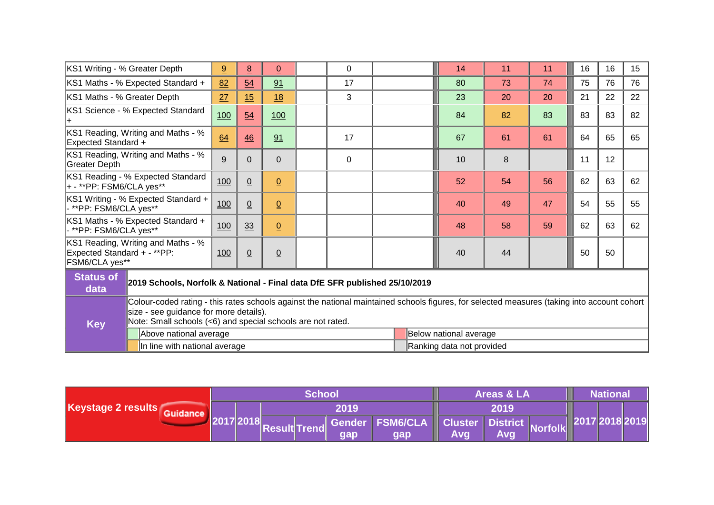| KS1 Writing - % Greater Depth                     |                                                                                                                                                                                                                                                      | 9                                                                          | $\overline{8}$ | $\underline{0}$ |  | 0  |  |  | 14                     | 11 | 11 | 16 | 16 | 15 |
|---------------------------------------------------|------------------------------------------------------------------------------------------------------------------------------------------------------------------------------------------------------------------------------------------------------|----------------------------------------------------------------------------|----------------|-----------------|--|----|--|--|------------------------|----|----|----|----|----|
|                                                   | KS1 Maths - % Expected Standard +                                                                                                                                                                                                                    | 82                                                                         | 54             | 91              |  | 17 |  |  | 80                     | 73 | 74 | 75 | 76 | 76 |
| KS1 Maths - % Greater Depth                       |                                                                                                                                                                                                                                                      | 27                                                                         | 15             | 18              |  | 3  |  |  | 23                     | 20 | 20 | 21 | 22 | 22 |
|                                                   | KS1 Science - % Expected Standard                                                                                                                                                                                                                    | 100                                                                        | 54             | 100             |  |    |  |  | 84                     | 82 | 83 | 83 | 83 | 82 |
| Expected Standard +                               | KS1 Reading, Writing and Maths - %                                                                                                                                                                                                                   | 64<br>46<br>91<br>17                                                       |                |                 |  |    |  |  | 67                     | 61 | 61 | 64 | 65 | 65 |
| Greater Depth                                     | KS1 Reading, Writing and Maths - %<br>9<br>$\underline{0}$<br>0<br><u>0</u>                                                                                                                                                                          |                                                                            |                |                 |  |    |  |  | 10                     | 8  |    | 11 | 12 |    |
| $ + - \cdot \cdot$ PP: FSM6/CLA yes $\cdot \cdot$ | KS1 Reading - % Expected Standard                                                                                                                                                                                                                    | 100                                                                        | $\overline{0}$ | $\overline{0}$  |  |    |  |  | 52                     | 54 | 56 | 62 | 63 | 62 |
| - **PP: FSM6/CLA yes**                            | KS1 Writing - % Expected Standard +<br>100<br>$\underline{0}$<br>$\underline{0}$                                                                                                                                                                     |                                                                            |                |                 |  |    |  |  | 40                     | 49 | 47 | 54 | 55 | 55 |
| - **PP: FSM6/CLA yes**                            | KS1 Maths - % Expected Standard +                                                                                                                                                                                                                    | 100                                                                        | 33             | $\underline{0}$ |  |    |  |  | 48                     | 58 | 59 | 62 | 63 | 62 |
| Expected Standard + - **PP:<br>FSM6/CLA yes**     | KS1 Reading, Writing and Maths - %                                                                                                                                                                                                                   | 100                                                                        | $\overline{0}$ | $\underline{0}$ |  |    |  |  | 40                     | 44 |    | 50 | 50 |    |
| <b>Status of</b><br>data                          |                                                                                                                                                                                                                                                      | 2019 Schools, Norfolk & National - Final data DfE SFR published 25/10/2019 |                |                 |  |    |  |  |                        |    |    |    |    |    |
| <b>Key</b>                                        | Colour-coded rating - this rates schools against the national maintained schools figures, for selected measures (taking into account cohort<br>size - see guidance for more details).<br>Note: Small schools (<6) and special schools are not rated. |                                                                            |                |                 |  |    |  |  |                        |    |    |    |    |    |
|                                                   | Above national average                                                                                                                                                                                                                               |                                                                            |                |                 |  |    |  |  | Below national average |    |    |    |    |    |
|                                                   |                                                                                                                                                                                                                                                      | In line with national average<br>Ranking data not provided                 |                |                 |  |    |  |  |                        |    |    |    |    |    |

|                    |  |  | School |     |                                                                                                                    |      | <b>Areas &amp; LA</b> |  | <b>National</b> |  |
|--------------------|--|--|--------|-----|--------------------------------------------------------------------------------------------------------------------|------|-----------------------|--|-----------------|--|
| Keystage 2 results |  |  | 2019   |     |                                                                                                                    | 2019 |                       |  |                 |  |
|                    |  |  |        |     | 2017 2018  <sub>Result</sub>   <sub>Trend</sub>   Gender   FSM6/CLA    Cluster   District   <sub>Norfolk</sub>   3 |      |                       |  | 2017 2018 2019  |  |
|                    |  |  |        | gap | <b>gap</b>                                                                                                         | Avg  | <b>Avg</b>            |  |                 |  |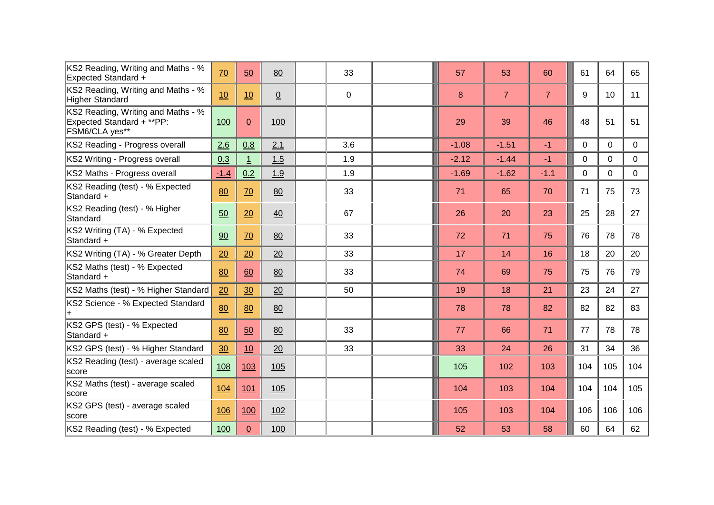| KS2 Reading, Writing and Maths - %<br><b>Expected Standard +</b>                  | 70         | 50              | 80              | 33  |  | 57      | 53             | 60             | 61          | 64       | 65  |
|-----------------------------------------------------------------------------------|------------|-----------------|-----------------|-----|--|---------|----------------|----------------|-------------|----------|-----|
| KS2 Reading, Writing and Maths - %<br>Higher Standard                             | 10         | 10              | $\underline{0}$ | 0   |  | 8       | $\overline{7}$ | $\overline{7}$ | 9           | 10       | 11  |
| KS2 Reading, Writing and Maths - %<br>Expected Standard + **PP:<br>FSM6/CLA yes** | 100        | $\underline{0}$ | 100             |     |  | 29      | 39             | 46             | 48          | 51       | 51  |
| KS2 Reading - Progress overall                                                    | 2.6        | 0.8             | 2.1             | 3.6 |  | $-1.08$ | $-1.51$        | $-1$           | $\mathbf 0$ | 0        | 0   |
| KS2 Writing - Progress overall                                                    | 0.3        | $\overline{1}$  | 1.5             | 1.9 |  | $-2.12$ | $-1.44$        | $-1$           | $\mathbf 0$ | $\Omega$ | 0   |
| KS2 Maths - Progress overall                                                      | $-1.4$     | 0.2             | 1.9             | 1.9 |  | $-1.69$ | $-1.62$        | $-1.1$         | 0           | $\Omega$ | 0   |
| KS2 Reading (test) - % Expected<br>Standard +                                     | 80         | 70              | 80              | 33  |  | 71      | 65             | 70             | 71          | 75       | 73  |
| KS2 Reading (test) - % Higher<br>Standard                                         | 50         | 20              | 40              | 67  |  | 26      | 20             | 23             | 25          | 28       | 27  |
| KS2 Writing (TA) - % Expected<br>Standard +                                       | 90         | 70              | 80              | 33  |  | 72      | 71             | 75             | 76          | 78       | 78  |
| KS2 Writing (TA) - % Greater Depth                                                | 20         | 20              | 20              | 33  |  | 17      | 14             | 16             | 18          | 20       | 20  |
| KS2 Maths (test) - % Expected<br>Standard +                                       | 80         | 60              | 80              | 33  |  | 74      | 69             | 75             | 75          | 76       | 79  |
| KS2 Maths (test) - % Higher Standard                                              | 20         | 30              | 20              | 50  |  | 19      | 18             | 21             | 23          | 24       | 27  |
| KS2 Science - % Expected Standard                                                 | 80         | 80              | 80              |     |  | 78      | 78             | 82             | 82          | 82       | 83  |
| KS2 GPS (test) - % Expected<br>Standard +                                         | 80         | 50              | 80              | 33  |  | 77      | 66             | 71             | 77          | 78       | 78  |
| KS2 GPS (test) - % Higher Standard                                                | 30         | 10              | 20              | 33  |  | 33      | 24             | 26             | 31          | 34       | 36  |
| KS2 Reading (test) - average scaled<br>score                                      | 108        | 103             | 105             |     |  | 105     | 102            | 103            | 104         | 105      | 104 |
| KS2 Maths (test) - average scaled<br>lscore                                       | <u>104</u> | 101             | 105             |     |  | 104     | 103            | 104            | 104         | 104      | 105 |
| KS2 GPS (test) - average scaled<br>Iscore                                         | 106        | 100             | 102             |     |  | 105     | 103            | 104            | 106         | 106      | 106 |
| KS2 Reading (test) - % Expected                                                   | 100        | $\overline{0}$  | 100             |     |  | 52      | 53             | 58             | 60          | 64       | 62  |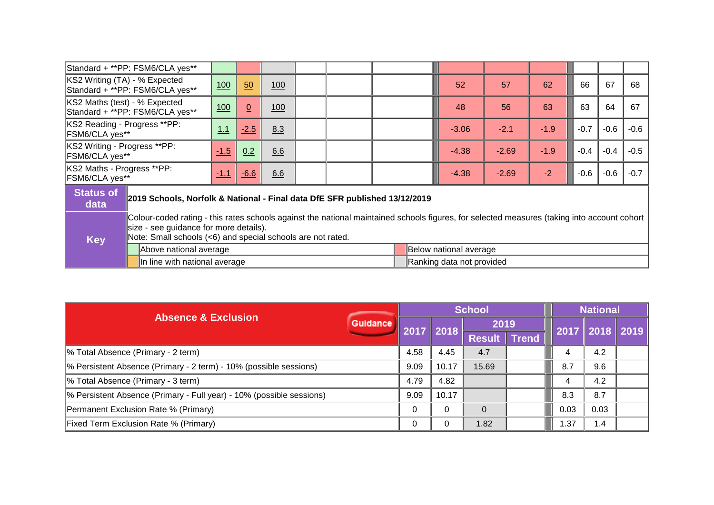|                                                | Standard + **PP: FSM6/CLA yes**                                            |                                                                                                                                                                                                                                                      |                 |     |  |  |  |  |                        |    |        |        |    |    |
|------------------------------------------------|----------------------------------------------------------------------------|------------------------------------------------------------------------------------------------------------------------------------------------------------------------------------------------------------------------------------------------------|-----------------|-----|--|--|--|--|------------------------|----|--------|--------|----|----|
| KS2 Writing (TA) - % Expected                  | Standard + **PP: FSM6/CLA yes**                                            | 100                                                                                                                                                                                                                                                  | 50              | 100 |  |  |  |  | 52                     | 57 | 62     | 66     | 67 | 68 |
| KS2 Maths (test) - % Expected                  | Standard + **PP: FSM6/CLA yes**                                            | 100                                                                                                                                                                                                                                                  | $\underline{0}$ | 100 |  |  |  |  | 48                     | 56 | 63     | 63     | 64 | 67 |
| KS2 Reading - Progress **PP:<br>FSM6/CLA yes** |                                                                            | $-1.9$<br>$-0.7$<br>$-0.6$<br>1.1<br>$-2.5$<br>8.3<br>$-2.1$<br>$-3.06$                                                                                                                                                                              |                 |     |  |  |  |  |                        |    |        | $-0.6$ |    |    |
| KS2 Writing - Progress **PP:<br>FSM6/CLA yes** |                                                                            | $-1.9$<br>6.6<br>$-0.4$<br>$-0.4$<br>$-1.5$<br>0.2<br>$-2.69$<br>$-4.38$                                                                                                                                                                             |                 |     |  |  |  |  |                        |    |        | $-0.5$ |    |    |
| KS2 Maths - Progress **PP:<br>FSM6/CLA yes**   |                                                                            | $-2$<br>$-0.6$<br>$-1.1$<br>$-6.6$<br>6.6<br>$-2.69$<br>$-4.38$                                                                                                                                                                                      |                 |     |  |  |  |  |                        |    | $-0.6$ | $-0.7$ |    |    |
| <b>Status of</b><br>data                       | 2019 Schools, Norfolk & National - Final data DfE SFR published 13/12/2019 |                                                                                                                                                                                                                                                      |                 |     |  |  |  |  |                        |    |        |        |    |    |
| <b>Key</b>                                     |                                                                            | Colour-coded rating - this rates schools against the national maintained schools figures, for selected measures (taking into account cohort<br>size - see guidance for more details).<br>Note: Small schools (<6) and special schools are not rated. |                 |     |  |  |  |  |                        |    |        |        |    |    |
|                                                | Above national average                                                     |                                                                                                                                                                                                                                                      |                 |     |  |  |  |  | Below national average |    |        |        |    |    |
|                                                |                                                                            | In line with national average<br>Ranking data not provided                                                                                                                                                                                           |                 |     |  |  |  |  |                        |    |        |        |    |    |

| <b>Absence &amp; Exclusion</b>                                       |                 |      |              | <b>School</b> |                                  | <b>National</b> |  |  |
|----------------------------------------------------------------------|-----------------|------|--------------|---------------|----------------------------------|-----------------|--|--|
|                                                                      | <b>Guidance</b> | 2017 | $\vert$ 2018 | 2019          | <u>   2017    2018    2019  </u> |                 |  |  |
|                                                                      |                 |      |              | Result Trend  |                                  |                 |  |  |
| % Total Absence (Primary - 2 term)                                   |                 | 4.58 | 4.45         | 4.7           |                                  | 4.2             |  |  |
| % Persistent Absence (Primary - 2 term) - 10% (possible sessions)    |                 | 9.09 | 10.17        | 15.69         | 8.7                              | 9.6             |  |  |
| % Total Absence (Primary - 3 term)                                   |                 | 4.79 | 4.82         |               |                                  | 4.2             |  |  |
| % Persistent Absence (Primary - Full year) - 10% (possible sessions) |                 | 9.09 | 10.17        |               | 8.3                              | 8.7             |  |  |
| Permanent Exclusion Rate % (Primary)                                 |                 | 0    | $\Omega$     |               | 0.03                             | 0.03            |  |  |
| Fixed Term Exclusion Rate % (Primary)                                |                 | 0    | $\Omega$     | 1.82          | .37                              | $\mathbf{1.4}$  |  |  |